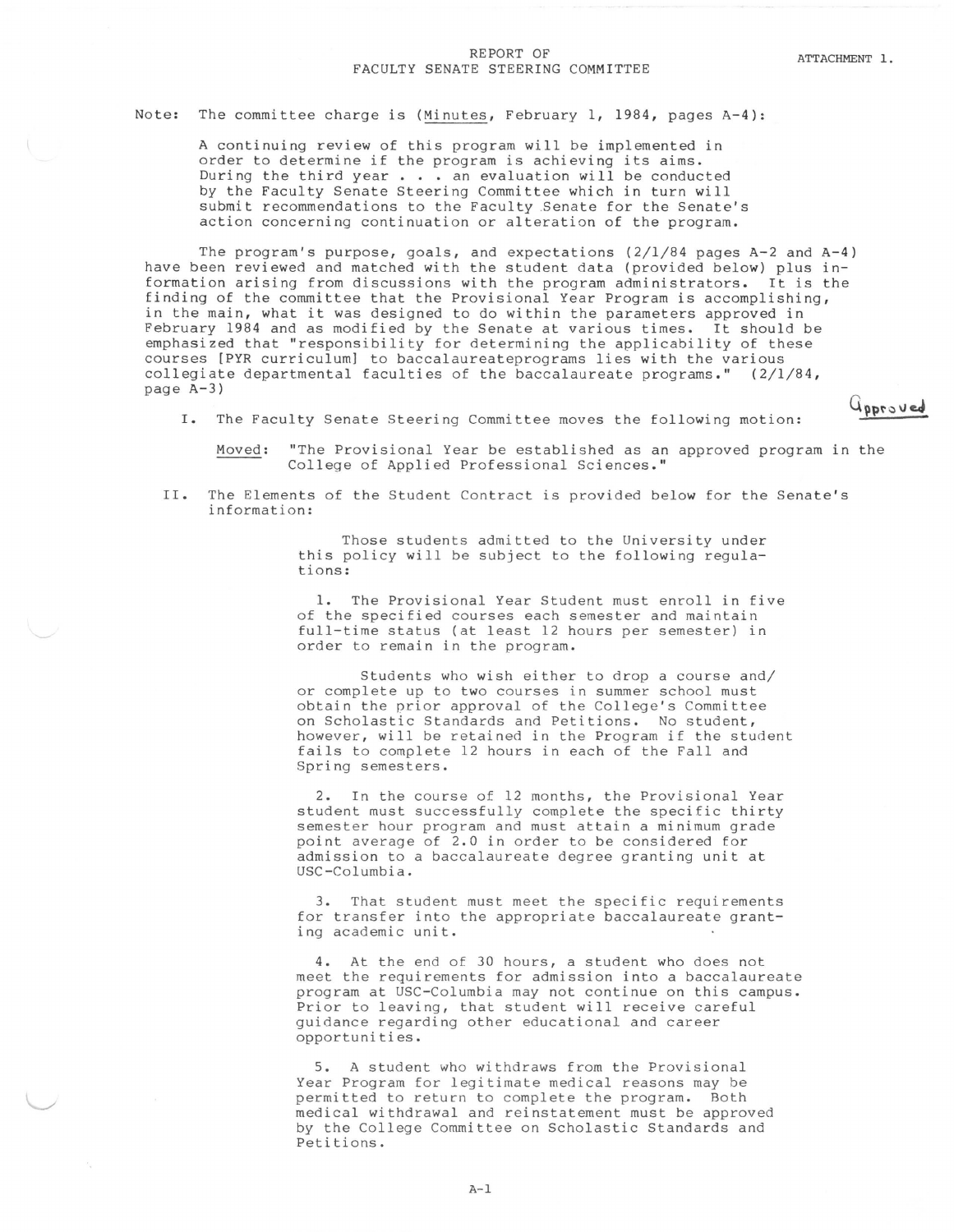Gaproved

## REPORT OF ATTACHMENT 1.<br>FACULTY SENATE STEERING COMMITTEE

## Note: The committee charge is (Minutes, February 1, 1984, pages A-4):

A continuing review of this program will be implemented in order to determine if the program is achieving its aims. During the third year  $\ldots$  an evaluation will be conducted by the Faculty Senate Steering Committee which in turn will submit recommendations to the Faculty .Senate for the Senate's action concerning continuation or alteration of the program.

The program's purpose, goals, and expectations  $(2/1/84$  pages A-2 and A-4) have been reviewed and matched with the student data (provided below) plus information arising from discussions with the program administrators. It is the finding of the committee that the Provisional Year Program is accomplishing, in the main, what it was designed to do within the parameters approved in February 1984 and as modified by the Senate at various times. It should be emphasized that "responsibility for determining the applicability of these courses [PYR curriculum) to baccalaureateprograms lies with the various collegiate departmental faculties of the baccalaureate programs." ( 2/1/84, page A-3)

I. The Faculty Senate Steering Committee moves the following motion:

Moved: "The Provisional Year be established as an approved program in the College of Applied Professional Sciences."

II. The Elements of the Student Contract is provided below for the Senate's information:

> Those students admitted to the University under this policy will be subject to the following regulations:

1. The Provisional Year Student must enroll in five of the specified courses each semester and maintain full-time status (at least 12 hours per semester) in order to remain in the program.

Students who wish either to drop a course and/ or complete up to two courses in summer school must obtain the prior approval of the College's Committee on Scholastic Standards and Petitions. No student, however, will be retained in the Program if the student fails to complete 12 hours in each of the Fall and Spring semesters.

In the course of 12 months, the Provisional Year student must successfully complete the specific thirty semester hour program and must attain a minimum grade point average of 2.0 in order to be considered for admission to a baccalaureate degree granting unit at USC-Columbia.

3. That student must meet the specific requirements for transfer into the appropriate baccalaureate granting academic unit.

4. At the end of 30 hours, a student who does not meet the requirements for admission into a baccalaureate program at USC-Columbia may not continue on this campus. Prior to leaving, that student will receive careful guidance regarding other educational and career opportunities.

5. A student who withdraws from the Provisional Year Program for legitimate medical reasons may be permitted to return to complete the program. Both medical withdrawal and reinstatement must be approved by the College Committee on Scholastic Standards and Petitions.

A-1